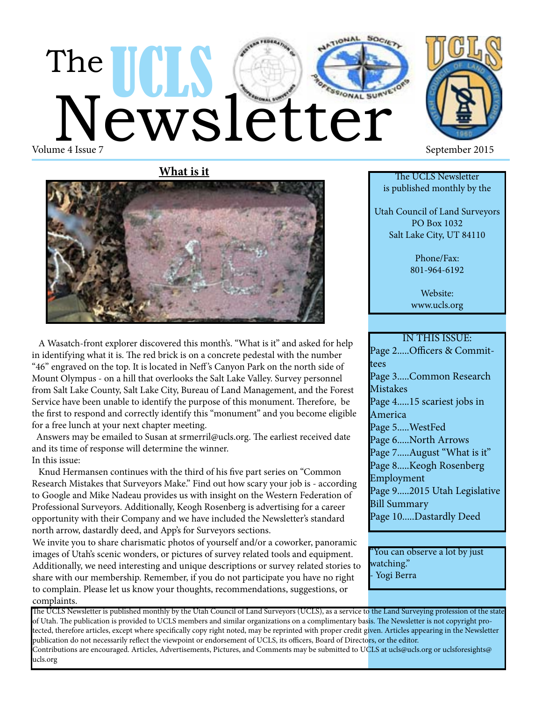# The UCLS Cetter Volume 4 Issue 7 September 2015





 A Wasatch-front explorer discovered this month's. "What is it" and asked for help in identifying what it is. The red brick is on a concrete pedestal with the number "46" engraved on the top. It is located in Neff 's Canyon Park on the north side of Mount Olympus - on a hill that overlooks the Salt Lake Valley. Survey personnel from Salt Lake County, Salt Lake City, Bureau of Land Management, and the Forest Service have been unable to identify the purpose of this monument. Therefore, be the first to respond and correctly identify this "monument" and you become eligible for a free lunch at your next chapter meeting.

 Answers may be emailed to Susan at srmerril@ucls.org. The earliest received date and its time of response will determine the winner. In this issue:

 Knud Hermansen continues with the third of his five part series on "Common Research Mistakes that Surveyors Make." Find out how scary your job is - according to Google and Mike Nadeau provides us with insight on the Western Federation of Professional Surveyors. Additionally, Keogh Rosenberg is advertising for a career opportunity with their Company and we have included the Newsletter's standard north arrow, dastardly deed, and App's for Surveyors sections.

We invite you to share charismatic photos of yourself and/or a coworker, panoramic images of Utah's scenic wonders, or pictures of survey related tools and equipment. Additionally, we need interesting and unique descriptions or survey related stories to share with our membership. Remember, if you do not participate you have no right to complain. Please let us know your thoughts, recommendations, suggestions, or complaints.



The UCLS Newsletter is published monthly by the

Utah Council of Land Surveyors PO Box 1032 Salt Lake City, UT 84110

> Phone/Fax: 801-964-6192

Website: www.ucls.org

#### IN THIS ISSUE: Page 2.....Officers & Committees Page 3.....Common Research **Mistakes** Page 4.....15 scariest jobs in America Page 5.....WestFed Page 6.....North Arrows Page 7.....August "What is it" Page 8.....Keogh Rosenberg Employment Page 9.....2015 Utah Legislative Bill Summary Page 10.....Dastardly Deed

"You can observe a lot by just watching." - Yogi Berra

The UCLS Newsletter is published monthly by the Utah Council of Land Surveyors (UCLS), as a service to the Land Surveying profession of the state of Utah. The publication is provided to UCLS members and similar organizations on a complimentary basis. The Newsletter is not copyright protected, therefore articles, except where specifically copy right noted, may be reprinted with proper credit given. Articles appearing in the Newsletter publication do not necessarily reflect the viewpoint or endorsement of UCLS, its officers, Board of Directors, or the editor. Contributions are encouraged. Articles, Advertisements, Pictures, and Comments may be submitted to UCLS at ucls@ucls.org or uclsforesights@ ucls.org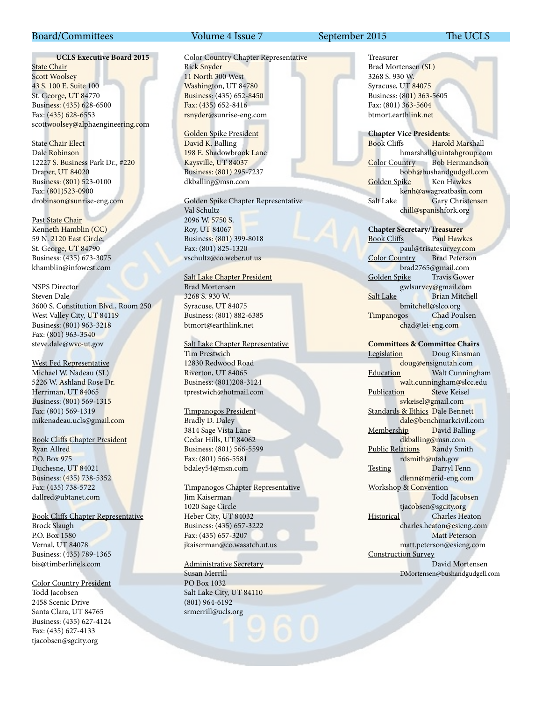#### Board/Committees Volume 4 Issue 7 September 2015 The UCLS

#### **UCLS Executive Board 2015**

**State Chair** Scott Woolsey 43 S. 100 E. Suite 100 St. George, UT 84770 Business: (435) 628-6500 Fax: (435) 628-6553 scottwoolsey@alphaengineering.com

State Chair Elect Dale Robinson 12227 S. Business Park Dr., #220 Draper, UT 84020 Business: (801) 523-0100 Fax: (801)523-0900 drobinson@sunrise-eng.com

Past State Chair Kenneth Hamblin (CC) 59 N. 2120 East Circle, St. George, UT 84790 Business: (435) 673-3075 khamblin@infowest.com

NSPS Director Steven Dale 3600 S. Constitution Blvd., Room 250 West Valley City, UT 84119 Business: (801) 963-3218 Fax: (801) 963-3540 steve.dale@wvc-ut.gov

West Fed Representative Michael W. Nadeau (SL) 5226 W. Ashland Rose Dr. Herriman, UT 84065 Business: (801) 569-1315 Fax: (801) 569-1319 mikenadeau.ucls@gmail.com

Book Cliffs Chapter President Ryan Allred P.O. Box 975 Duchesne, UT 84021 Business: (435) 738-5352 Fax: (435) 738-5722 dallred@ubtanet.com

Book Cliffs Chapter Representative Brock Slaugh P.O. Box 1580 Vernal, UT 84078 Business: (435) 789-1365 bis@timberlinels.com

Color Country President Todd Jacobsen 2458 Scenic Drive Santa Clara, UT 84765 Business: (435) 627-4124 Fax: (435) 627-4133 tjacobsen@sgcity.org

#### Color Country Chapter Representative Rick Snyder 11 North 300 West

Washington, UT 84780 Business: (435) 652-8450 Fax: (435) 652-8416 rsnyder@sunrise-eng.com

Golden Spike President David K. Balling 198 E. Shadowbrook Lane Kaysville, UT 84037 Business: (801) 295-7237 dkballing@msn.com

Golden Spike Chapter Representative

Val Schultz 2096 W. 5750 S. Roy, UT 84067 Business: (801) 399-8018 Fax: (801) 825-1320 vschultz@co.weber.ut.us

Salt Lake Chapter President Brad Mortensen 3268 S. 930 W. Syracuse, UT 84075 Business: (801) 882-6385 btmort@earthlink.net

Salt Lake Chapter Representative

Tim Prestwich 12830 Redwood Road Riverton, UT 84065 Business: (801)208-3124 tprestwich@hotmail.com

Timpanogos President Bradly D. Daley 3814 Sage Vista Lane Cedar Hills, UT 84062 Business: (801) 566-5599 Fax: (801) 566-5581 bdaley54@msn.com

Timpanogos Chapter Representative Jim Kaiserman

1020 Sage Circle Heber City, UT 84032 Business: (435) 657-3222 Fax: (435) 657-3207 jkaiserman@co.wasatch.ut.us

Administrative Secretary Susan Merrill PO Box 1032 Salt Lake City, UT 84110 (801) 964-6192 srmerrill@ucls.org

Treasurer Brad Mortensen (SL) 3268 S. 930 W. Syracuse, UT 84075 Business: (801) 363-5605 Fax: (801) 363-5604 btmort.earthlink.net

**Chapter Vice Presidents:** Book Cliffs Harold Marshall hmarshall@uintahgroup.com Color Country Bob Hermandson bobh@bushandgudgell.com Golden Spike Ken Hawkes kenh@awagreatbasin.com Salt Lake Gary Christensen chill@spanishfork.org

**Chapter Secretary/Treasurer**

Book Cliffs Paul Hawkes paul@trisatesurvey.com Color Country brad2765@gmail.com Golden Spike Travis Gower gwlsurvey@gmail.com Salt Lake Brian Mitchell bmitchell@slco.org Timpanogos Chad Poulsen chad@lei-eng.com

**Committees & Committee Chairs** Legislation Doug Kinsman doug@ensignutah.com Education **Walt Cunningham** walt.cunningham@slcc.edu<br>on Steve Keisel Publication svkeisel@gmail.com Standards & Ethics Dale Bennett dale@benchmarkcivil.com Membership David Balling dkballing@msn.com Public Relations Randy Smith rdsmith@utah.gov Testing Darryl Fenn dfenn@merid-eng.com Workshop & Convention Todd Jacobsen tjacobsen@sgcity.org Historical Charles Heaton charles.heaton@esieng.com Matt Peterson matt.peterson@esieng.com Construction Survey David Mortensen DMortensen@bushandgudgell.com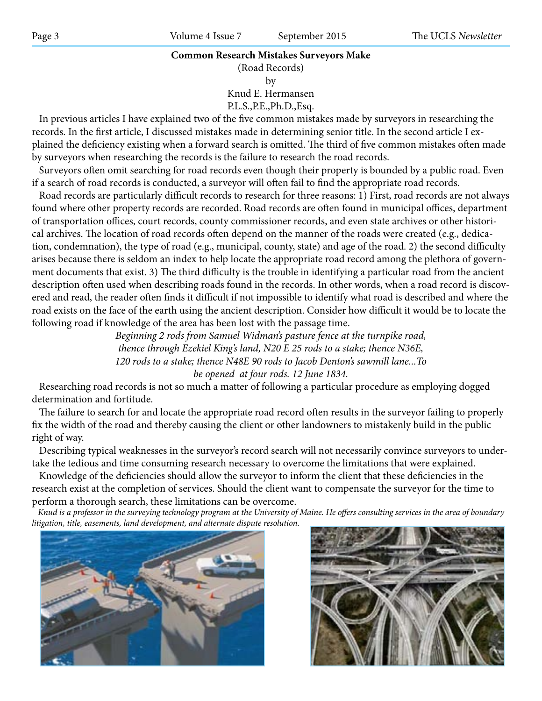#### **Common Research Mistakes Surveyors Make**

(Road Records)

by

Knud E. Hermansen

P.L.S.,P.E.,Ph.D.,Esq.

 In previous articles I have explained two of the five common mistakes made by surveyors in researching the records. In the first article, I discussed mistakes made in determining senior title. In the second article I explained the deficiency existing when a forward search is omitted. The third of five common mistakes often made by surveyors when researching the records is the failure to research the road records.

 Surveyors often omit searching for road records even though their property is bounded by a public road. Even if a search of road records is conducted, a surveyor will often fail to find the appropriate road records.

 Road records are particularly difficult records to research for three reasons: 1) First, road records are not always found where other property records are recorded. Road records are often found in municipal offices, department of transportation offices, court records, county commissioner records, and even state archives or other historical archives. The location of road records often depend on the manner of the roads were created (e.g., dedication, condemnation), the type of road (e.g., municipal, county, state) and age of the road. 2) the second difficulty arises because there is seldom an index to help locate the appropriate road record among the plethora of government documents that exist. 3) The third difficulty is the trouble in identifying a particular road from the ancient description often used when describing roads found in the records. In other words, when a road record is discovered and read, the reader often finds it difficult if not impossible to identify what road is described and where the road exists on the face of the earth using the ancient description. Consider how difficult it would be to locate the following road if knowledge of the area has been lost with the passage time.

> *Beginning 2 rods from Samuel Widman's pasture fence at the turnpike road, thence through Ezekiel King's land, N20 E 25 rods to a stake; thence N36E, 120 rods to a stake; thence N48E 90 rods to Jacob Denton's sawmill lane...To be opened at four rods. 12 June 1834.*

 Researching road records is not so much a matter of following a particular procedure as employing dogged determination and fortitude.

 The failure to search for and locate the appropriate road record often results in the surveyor failing to properly fix the width of the road and thereby causing the client or other landowners to mistakenly build in the public right of way.

 Describing typical weaknesses in the surveyor's record search will not necessarily convince surveyors to undertake the tedious and time consuming research necessary to overcome the limitations that were explained.

 Knowledge of the deficiencies should allow the surveyor to inform the client that these deficiencies in the research exist at the completion of services. Should the client want to compensate the surveyor for the time to perform a thorough search, these limitations can be overcome.

 *Knud is a professor in the surveying technology program at the University of Maine. He offers consulting services in the area of boundary litigation, title, easements, land development, and alternate dispute resolution.*



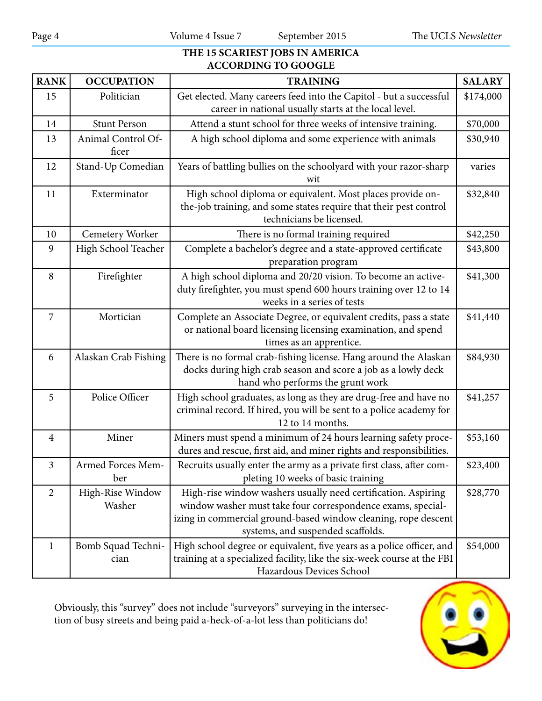#### **THE 15 SCARIEST JOBS IN AMERICA ACCORDING TO GOOGLE**

| <b>RANK</b>    | <b>OCCUPATION</b>           | <b>TRAINING</b>                                                                                                                                                                                                                     | <b>SALARY</b> |
|----------------|-----------------------------|-------------------------------------------------------------------------------------------------------------------------------------------------------------------------------------------------------------------------------------|---------------|
| 15             | Politician                  | Get elected. Many careers feed into the Capitol - but a successful<br>career in national usually starts at the local level.                                                                                                         | \$174,000     |
| 14             | <b>Stunt Person</b>         | Attend a stunt school for three weeks of intensive training.                                                                                                                                                                        | \$70,000      |
| 13             | Animal Control Of-<br>ficer | A high school diploma and some experience with animals                                                                                                                                                                              | \$30,940      |
| 12             | Stand-Up Comedian           | Years of battling bullies on the schoolyard with your razor-sharp<br>wit                                                                                                                                                            | varies        |
| 11             | Exterminator                | High school diploma or equivalent. Most places provide on-<br>the-job training, and some states require that their pest control<br>technicians be licensed.                                                                         | \$32,840      |
| 10             | <b>Cemetery Worker</b>      | There is no formal training required                                                                                                                                                                                                | \$42,250      |
| 9              | High School Teacher         | Complete a bachelor's degree and a state-approved certificate<br>preparation program                                                                                                                                                | \$43,800      |
| 8              | Firefighter                 | A high school diploma and 20/20 vision. To become an active-<br>duty firefighter, you must spend 600 hours training over 12 to 14<br>weeks in a series of tests                                                                     | \$41,300      |
| 7              | Mortician                   | Complete an Associate Degree, or equivalent credits, pass a state<br>or national board licensing licensing examination, and spend<br>times as an apprentice.                                                                        | \$41,440      |
| 6              | Alaskan Crab Fishing        | There is no formal crab-fishing license. Hang around the Alaskan<br>docks during high crab season and score a job as a lowly deck<br>hand who performs the grunt work                                                               | \$84,930      |
| 5              | Police Officer              | High school graduates, as long as they are drug-free and have no<br>criminal record. If hired, you will be sent to a police academy for<br>12 to 14 months.                                                                         | \$41,257      |
| $\overline{4}$ | Miner                       | Miners must spend a minimum of 24 hours learning safety proce-<br>dures and rescue, first aid, and miner rights and responsibilities.                                                                                               | \$53,160      |
| $\overline{3}$ | Armed Forces Mem<br>ber     | Recruits usually enter the army as a private first class, after com-<br>pleting 10 weeks of basic training                                                                                                                          | \$23,400      |
| $\overline{2}$ | High-Rise Window<br>Washer  | High-rise window washers usually need certification. Aspiring<br>window washer must take four correspondence exams, special-<br>izing in commercial ground-based window cleaning, rope descent<br>systems, and suspended scaffolds. | \$28,770      |
| $\mathbf{1}$   | Bomb Squad Techni-<br>cian  | High school degree or equivalent, five years as a police officer, and<br>training at a specialized facility, like the six-week course at the FBI<br>Hazardous Devices School                                                        | \$54,000      |

Obviously, this "survey" does not include "surveyors" surveying in the intersection of busy streets and being paid a-heck-of-a-lot less than politicians do!

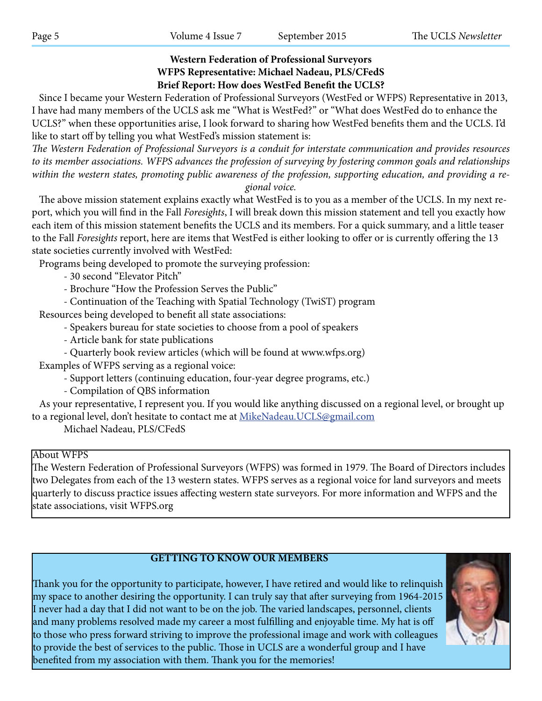## **Western Federation of Professional Surveyors WFPS Representative: Michael Nadeau, PLS/CFedS Brief Report: How does WestFed Benefit the UCLS?**

 Since I became your Western Federation of Professional Surveyors (WestFed or WFPS) Representative in 2013, I have had many members of the UCLS ask me "What is WestFed?" or "What does WestFed do to enhance the UCLS?" when these opportunities arise, I look forward to sharing how WestFed benefits them and the UCLS. I'd like to start off by telling you what WestFed's mission statement is:

*The Western Federation of Professional Surveyors is a conduit for interstate communication and provides resources to its member associations. WFPS advances the profession of surveying by fostering common goals and relationships within the western states, promoting public awareness of the profession, supporting education, and providing a regional voice.*

 The above mission statement explains exactly what WestFed is to you as a member of the UCLS. In my next report, which you will find in the Fall *Foresights*, I will break down this mission statement and tell you exactly how each item of this mission statement benefits the UCLS and its members. For a quick summary, and a little teaser to the Fall *Foresights* report, here are items that WestFed is either looking to offer or is currently offering the 13 state societies currently involved with WestFed:

Programs being developed to promote the surveying profession:

- 30 second "Elevator Pitch"

- Brochure "How the Profession Serves the Public"

- Continuation of the Teaching with Spatial Technology (TwiST) program

Resources being developed to benefit all state associations:

- Speakers bureau for state societies to choose from a pool of speakers

- Article bank for state publications

- Quarterly book review articles (which will be found at www.wfps.org) Examples of WFPS serving as a regional voice:

- Support letters (continuing education, four-year degree programs, etc.)

- Compilation of QBS information

 As your representative, I represent you. If you would like anything discussed on a regional level, or brought up to a regional level, don't hesitate to contact me at MikeNadeau. UCLS@gmail.com

Michael Nadeau, PLS/CFedS

#### About WFPS

The Western Federation of Professional Surveyors (WFPS) was formed in 1979. The Board of Directors includes two Delegates from each of the 13 western states. WFPS serves as a regional voice for land surveyors and meets quarterly to discuss practice issues affecting western state surveyors. For more information and WFPS and the state associations, visit WFPS.org

## **GETTING TO KNOW OUR MEMBERS**

Thank you for the opportunity to participate, however, I have retired and would like to relinquish my space to another desiring the opportunity. I can truly say that after surveying from 1964-2015 I never had a day that I did not want to be on the job. The varied landscapes, personnel, clients and many problems resolved made my career a most fulfilling and enjoyable time. My hat is off to those who press forward striving to improve the professional image and work with colleagues to provide the best of services to the public. Those in UCLS are a wonderful group and I have benefited from my association with them. Thank you for the memories!

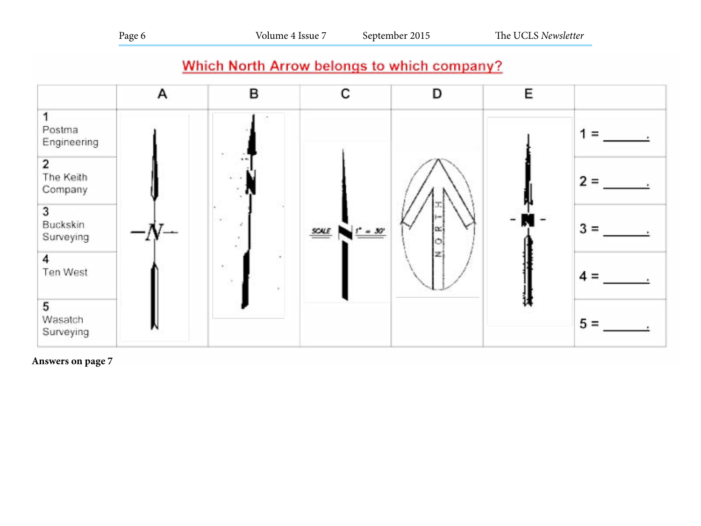| L<br>u<br>۰. |  |
|--------------|--|
|--------------|--|

## Which North Arrow belongs to which company?



#### **Answers on page 7**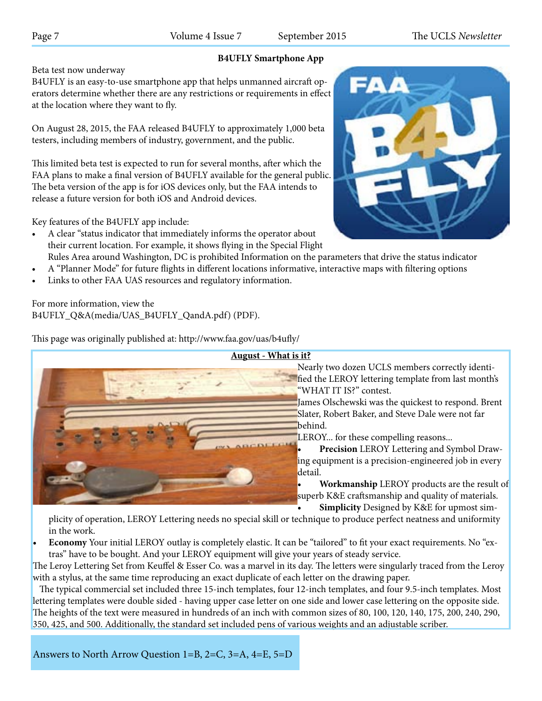## **B4UFLY Smartphone App**

Beta test now underway

B4UFLY is an easy-to-use smartphone app that helps unmanned aircraft operators determine whether there are any restrictions or requirements in effect at the location where they want to fly.

On August 28, 2015, the FAA released B4UFLY to approximately 1,000 beta testers, including members of industry, government, and the public.

This limited beta test is expected to run for several months, after which the FAA plans to make a final version of B4UFLY available for the general public. The beta version of the app is for iOS devices only, but the FAA intends to release a future version for both iOS and Android devices.

Key features of the B4UFLY app include:

- • A clear "status indicator that immediately informs the operator about their current location. For example, it shows flying in the Special Flight
- Rules Area around Washington, DC is prohibited Information on the parameters that drive the status indicator A "Planner Mode" for future flights in different locations informative, interactive maps with filtering options
- Links to other FAA UAS resources and regulatory information.

For more information, view the B4UFLY\_Q&A(media/UAS\_B4UFLY\_QandA.pdf) (PDF).

This page was originally published at: http://www.faa.gov/uas/b4ufly/



 Nearly two dozen UCLS members correctly identified the LEROY lettering template from last month's "WHAT IT IS?" contest.

 James Olschewski was the quickest to respond. Brent Slater, Robert Baker, and Steve Dale were not far behind.

LEROY... for these compelling reasons...

**Precision** LEROY Lettering and Symbol Drawing equipment is a precision-engineered job in every detail.

**Workmanship** LEROY products are the result of superb K&E craftsmanship and quality of materials.

**Simplicity** Designed by K&E for upmost sim-

plicity of operation, LEROY Lettering needs no special skill or technique to produce perfect neatness and uniformity in the work.

**Economy** Your initial LEROY outlay is completely elastic. It can be "tailored" to fit your exact requirements. No "extras" have to be bought. And your LEROY equipment will give your years of steady service.

The Leroy Lettering Set from Keuffel & Esser Co. was a marvel in its day. The letters were singularly traced from the Leroy with a stylus, at the same time reproducing an exact duplicate of each letter on the drawing paper.

 The typical commercial set included three 15-inch templates, four 12-inch templates, and four 9.5-inch templates. Most lettering templates were double sided - having upper case letter on one side and lower case lettering on the opposite side. The heights of the text were measured in hundreds of an inch with common sizes of 80, 100, 120, 140, 175, 200, 240, 290, 350, 425, and 500. Additionally, the standard set included pens of various weights and an adjustable scriber.

Answers to North Arrow Question 1=B, 2=C, 3=A, 4=E, 5=D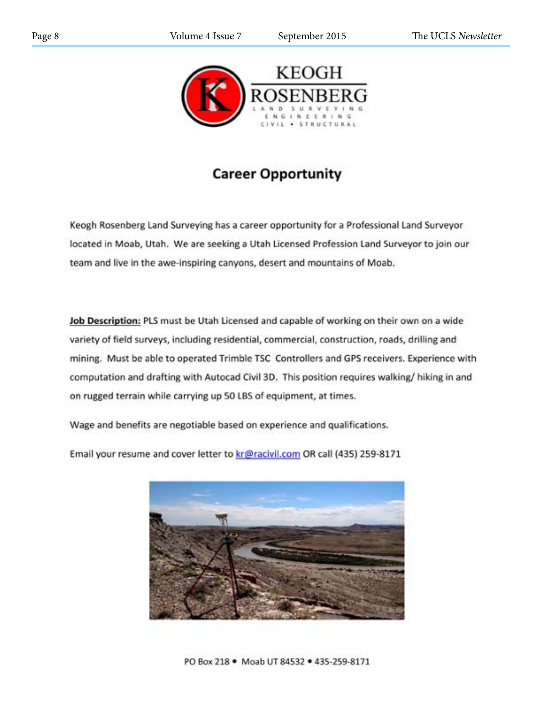

# **Career Opportunity**

Keogh Rosenberg Land Surveying has a career opportunity for a Professional Land Surveyor located in Moab, Utah. We are seeking a Utah Licensed Profession Land Surveyor to join our team and live in the awe-inspiring canyons, desert and mountains of Moab.

Job Description: PLS must be Utah Licensed and capable of working on their own on a wide variety of field surveys, including residential, commercial, construction, roads, drilling and mining. Must be able to operated Trimble TSC Controllers and GPS receivers. Experience with computation and drafting with Autocad Civil 3D. This position requires walking/ hiking in and on rugged terrain while carrying up 50 LBS of equipment, at times.

Wage and benefits are negotiable based on experience and qualifications.

Email your resume and cover letter to kr@racivil.com OR call (435) 259-8171

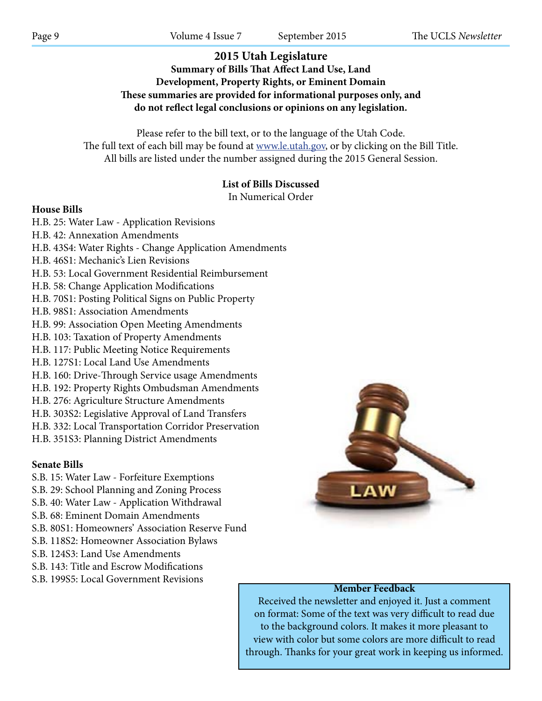## **2015 Utah Legislature Summary of Bills That Affect Land Use, Land Development, Property Rights, or Eminent Domain These summaries are provided for informational purposes only, and do not reflect legal conclusions or opinions on any legislation.**

Please refer to the bill text, or to the language of the Utah Code. The full text of each bill may be found at www.le.utah.gov, or by clicking on the Bill Title. All bills are listed under the number assigned during the 2015 General Session.

## **List of Bills Discussed**

In Numerical Order

#### **House Bills**

H.B. 25: Water Law - Application Revisions

- H.B. 42: Annexation Amendments
- H.B. 43S4: Water Rights Change Application Amendments
- H.B. 46S1: Mechanic's Lien Revisions
- H.B. 53: Local Government Residential Reimbursement
- H.B. 58: Change Application Modifications
- H.B. 70S1: Posting Political Signs on Public Property
- H.B. 98S1: Association Amendments
- H.B. 99: Association Open Meeting Amendments
- H.B. 103: Taxation of Property Amendments
- H.B. 117: Public Meeting Notice Requirements
- H.B. 127S1: Local Land Use Amendments
- H.B. 160: Drive-Through Service usage Amendments
- H.B. 192: Property Rights Ombudsman Amendments
- H.B. 276: Agriculture Structure Amendments
- H.B. 303S2: Legislative Approval of Land Transfers
- H.B. 332: Local Transportation Corridor Preservation
- H.B. 351S3: Planning District Amendments

#### **Senate Bills**

- S.B. 15: Water Law Forfeiture Exemptions
- S.B. 29: School Planning and Zoning Process
- S.B. 40: Water Law Application Withdrawal
- S.B. 68: Eminent Domain Amendments
- S.B. 80S1: Homeowners' Association Reserve Fund
- S.B. 118S2: Homeowner Association Bylaws
- S.B. 124S3: Land Use Amendments
- S.B. 143: Title and Escrow Modifications
- S.B. 199S5: Local Government Revisions



#### **Member Feedback**

Received the newsletter and enjoyed it. Just a comment on format: Some of the text was very difficult to read due to the background colors. It makes it more pleasant to view with color but some colors are more difficult to read through. Thanks for your great work in keeping us informed.